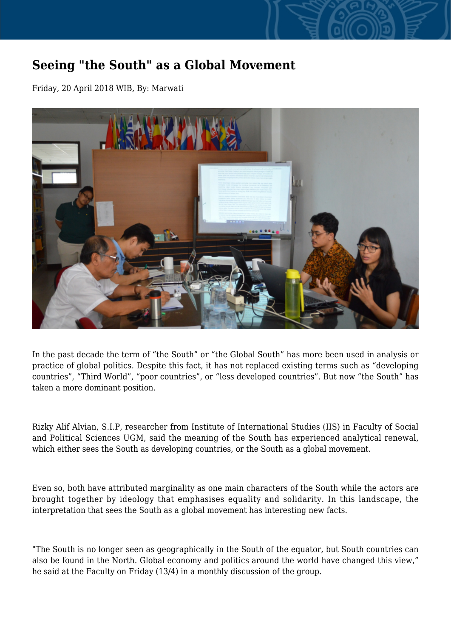## **Seeing "the South" as a Global Movement**

Friday, 20 April 2018 WIB, By: Marwati



In the past decade the term of "the South" or "the Global South" has more been used in analysis or practice of global politics. Despite this fact, it has not replaced existing terms such as "developing countries", "Third World", "poor countries", or "less developed countries". But now "the South" has taken a more dominant position.

Rizky Alif Alvian, S.I.P, researcher from Institute of International Studies (IIS) in Faculty of Social and Political Sciences UGM, said the meaning of the South has experienced analytical renewal, which either sees the South as developing countries, or the South as a global movement.

Even so, both have attributed marginality as one main characters of the South while the actors are brought together by ideology that emphasises equality and solidarity. In this landscape, the interpretation that sees the South as a global movement has interesting new facts.

"The South is no longer seen as geographically in the South of the equator, but South countries can also be found in the North. Global economy and politics around the world have changed this view," he said at the Faculty on Friday (13/4) in a monthly discussion of the group.